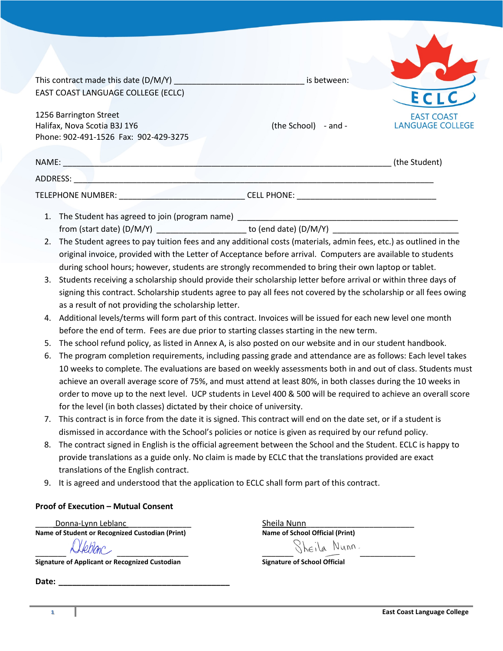|                                                                                                                                                                                                                                | This contract made this date (D/M/Y) is between:                                                                                                                                                                         |                                                                                                                                                                            |                                              |  |  |
|--------------------------------------------------------------------------------------------------------------------------------------------------------------------------------------------------------------------------------|--------------------------------------------------------------------------------------------------------------------------------------------------------------------------------------------------------------------------|----------------------------------------------------------------------------------------------------------------------------------------------------------------------------|----------------------------------------------|--|--|
| EAST COAST LANGUAGE COLLEGE (ECLC)                                                                                                                                                                                             |                                                                                                                                                                                                                          |                                                                                                                                                                            |                                              |  |  |
|                                                                                                                                                                                                                                |                                                                                                                                                                                                                          |                                                                                                                                                                            |                                              |  |  |
| 1256 Barrington Street                                                                                                                                                                                                         |                                                                                                                                                                                                                          | (the School) - and -                                                                                                                                                       | <b>EAST COAST</b><br><b>LANGUAGE COLLEGE</b> |  |  |
| Halifax, Nova Scotia B3J 1Y6<br>Phone: 902-491-1526 Fax: 902-429-3275                                                                                                                                                          |                                                                                                                                                                                                                          |                                                                                                                                                                            |                                              |  |  |
|                                                                                                                                                                                                                                |                                                                                                                                                                                                                          |                                                                                                                                                                            |                                              |  |  |
| NAME: NAME CONTRACT CONTRACT A CONTRACT OF THE CONTRACT OF THE CONTRACT OF THE CONTRACT OF THE CONTRACT OF THE CONTRACT OF THE CONTRACT OF THE CONTRACT OF THE CONTRACT OF THE CONTRACT OF THE CONTRACT OF THE CONTRACT OF THE |                                                                                                                                                                                                                          |                                                                                                                                                                            | (the Student)                                |  |  |
|                                                                                                                                                                                                                                |                                                                                                                                                                                                                          |                                                                                                                                                                            |                                              |  |  |
|                                                                                                                                                                                                                                |                                                                                                                                                                                                                          | TELEPHONE NUMBER: ___________________________________CELL PHONE: ___________________________________                                                                       |                                              |  |  |
|                                                                                                                                                                                                                                |                                                                                                                                                                                                                          |                                                                                                                                                                            |                                              |  |  |
|                                                                                                                                                                                                                                |                                                                                                                                                                                                                          | from (start date) (D/M/Y) _________________________ to (end date) (D/M/Y) __________________________                                                                       |                                              |  |  |
|                                                                                                                                                                                                                                | 2. The Student agrees to pay tuition fees and any additional costs (materials, admin fees, etc.) as outlined in the                                                                                                      |                                                                                                                                                                            |                                              |  |  |
|                                                                                                                                                                                                                                |                                                                                                                                                                                                                          | original invoice, provided with the Letter of Acceptance before arrival. Computers are available to students                                                               |                                              |  |  |
| during school hours; however, students are strongly recommended to bring their own laptop or tablet.                                                                                                                           |                                                                                                                                                                                                                          |                                                                                                                                                                            |                                              |  |  |
| 3.                                                                                                                                                                                                                             |                                                                                                                                                                                                                          | Students receiving a scholarship should provide their scholarship letter before arrival or within three days of                                                            |                                              |  |  |
|                                                                                                                                                                                                                                |                                                                                                                                                                                                                          | signing this contract. Scholarship students agree to pay all fees not covered by the scholarship or all fees owing<br>as a result of not providing the scholarship letter. |                                              |  |  |
| 4.                                                                                                                                                                                                                             |                                                                                                                                                                                                                          | Additional levels/terms will form part of this contract. Invoices will be issued for each new level one month                                                              |                                              |  |  |
|                                                                                                                                                                                                                                | before the end of term. Fees are due prior to starting classes starting in the new term.                                                                                                                                 |                                                                                                                                                                            |                                              |  |  |
| 5.                                                                                                                                                                                                                             | The school refund policy, as listed in Annex A, is also posted on our website and in our student handbook.                                                                                                               |                                                                                                                                                                            |                                              |  |  |
| 6.                                                                                                                                                                                                                             | The program completion requirements, including passing grade and attendance are as follows: Each level takes                                                                                                             |                                                                                                                                                                            |                                              |  |  |
|                                                                                                                                                                                                                                |                                                                                                                                                                                                                          | 10 weeks to complete. The evaluations are based on weekly assessments both in and out of class. Students must                                                              |                                              |  |  |
|                                                                                                                                                                                                                                |                                                                                                                                                                                                                          | achieve an overall average score of 75%, and must attend at least 80%, in both classes during the 10 weeks in                                                              |                                              |  |  |
|                                                                                                                                                                                                                                |                                                                                                                                                                                                                          | order to move up to the next level. UCP students in Level 400 & 500 will be required to achieve an overall score                                                           |                                              |  |  |
|                                                                                                                                                                                                                                | for the level (in both classes) dictated by their choice of university.                                                                                                                                                  |                                                                                                                                                                            |                                              |  |  |
|                                                                                                                                                                                                                                | 7. This contract is in force from the date it is signed. This contract will end on the date set, or if a student is                                                                                                      |                                                                                                                                                                            |                                              |  |  |
|                                                                                                                                                                                                                                | dismissed in accordance with the School's policies or notice is given as required by our refund policy.                                                                                                                  |                                                                                                                                                                            |                                              |  |  |
| 8.                                                                                                                                                                                                                             | The contract signed in English is the official agreement between the School and the Student. ECLC is happy to<br>provide translations as a guide only. No claim is made by ECLC that the translations provided are exact |                                                                                                                                                                            |                                              |  |  |
|                                                                                                                                                                                                                                | translations of the English contract.                                                                                                                                                                                    |                                                                                                                                                                            |                                              |  |  |
|                                                                                                                                                                                                                                | 9. It is agreed and understood that the application to ECLC shall form part of this contract.                                                                                                                            |                                                                                                                                                                            |                                              |  |  |
|                                                                                                                                                                                                                                |                                                                                                                                                                                                                          |                                                                                                                                                                            |                                              |  |  |
| <b>Proof of Execution - Mutual Consent</b>                                                                                                                                                                                     |                                                                                                                                                                                                                          |                                                                                                                                                                            |                                              |  |  |
| Donna-Lynn Leblanc<br>Name of Student or Recognized Custodian (Print)                                                                                                                                                          |                                                                                                                                                                                                                          | Sheila Nunn<br>Name of School Official (Print)                                                                                                                             |                                              |  |  |
|                                                                                                                                                                                                                                |                                                                                                                                                                                                                          | Sheila Nunn.                                                                                                                                                               |                                              |  |  |
|                                                                                                                                                                                                                                |                                                                                                                                                                                                                          |                                                                                                                                                                            |                                              |  |  |

**Signature of Applicant or Recognized Custodian Signature of School Official**

**Date: \_\_\_\_\_\_\_\_\_\_\_\_\_\_\_\_\_\_\_\_\_\_\_\_\_\_\_\_\_\_\_\_\_\_\_\_\_\_**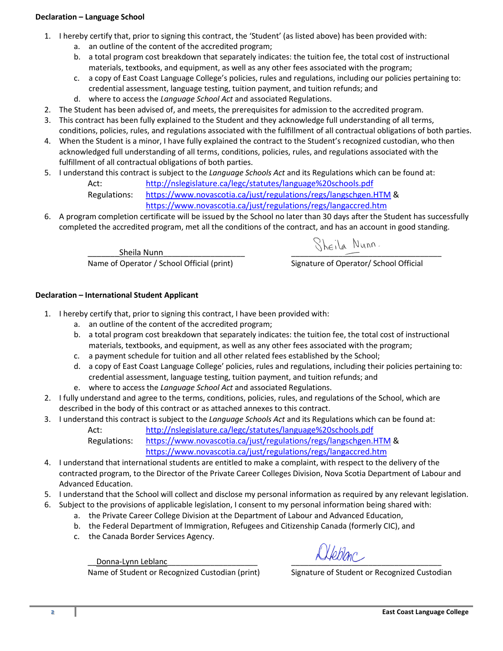## **Declaration – Language School**

- 1. I hereby certify that, prior to signing this contract, the 'Student' (as listed above) has been provided with:
	- a. an outline of the content of the accredited program;
	- b. a total program cost breakdown that separately indicates: the tuition fee, the total cost of instructional materials, textbooks, and equipment, as well as any other fees associated with the program;
	- c. a copy of East Coast Language College's policies, rules and regulations, including our policies pertaining to: credential assessment, language testing, tuition payment, and tuition refunds; and
	- d. where to access the *Language School Act* and associated Regulations.
- 2. The Student has been advised of, and meets, the prerequisites for admission to the accredited program.
- 3. This contract has been fully explained to the Student and they acknowledge full understanding of all terms, conditions, policies, rules, and regulations associated with the fulfillment of all contractual obligations of both parties.
- 4. When the Student is a minor, I have fully explained the contract to the Student's recognized custodian, who then acknowledged full understanding of all terms, conditions, policies, rules, and regulations associated with the fulfillment of all contractual obligations of both parties.
- 5. I understand this contract is subject to the *Language Schools Act* and its Regulations which can be found at:

Act: <http://nslegislature.ca/legc/statutes/language%20schools.pdf>

Regulations: <https://www.novascotia.ca/just/regulations/regs/langschgen.HTM> & <https://www.novascotia.ca/just/regulations/regs/langaccred.htm>

6. A program completion certificate will be issued by the School no later than 30 days after the Student has successfully completed the accredited program, met all the conditions of the contract, and has an account in good standing.

> $\frac{\text{Sheila Nunn}}{\text{Operator } / \text{ School Official (print)}}$   $\frac{\text{Shei} \wedge \text{Munn}}{\text{Signature of Operator } / \text{ School Official})}$ Name of Operator / School Official (print)

## **Declaration – International Student Applicant**

- 1. I hereby certify that, prior to signing this contract, I have been provided with:
	- a. an outline of the content of the accredited program;
	- b. a total program cost breakdown that separately indicates: the tuition fee, the total cost of instructional materials, textbooks, and equipment, as well as any other fees associated with the program;
	- c. a payment schedule for tuition and all other related fees established by the School;
	- d. a copy of East Coast Language College' policies, rules and regulations, including their policies pertaining to: credential assessment, language testing, tuition payment, and tuition refunds; and
	- e. where to access the *Language School Act* and associated Regulations.
- 2. I fully understand and agree to the terms, conditions, policies, rules, and regulations of the School, which are described in the body of this contract or as attached annexes to this contract.
- 3. I understand this contract is subject to the *Language Schools Act* and its Regulations which can be found at:

Act: <http://nslegislature.ca/legc/statutes/language%20schools.pdf> Regulations: <https://www.novascotia.ca/just/regulations/regs/langschgen.HTM> & <https://www.novascotia.ca/just/regulations/regs/langaccred.htm>

- 4. I understand that international students are entitled to make a complaint, with respect to the delivery of the contracted program, to the Director of the Private Career Colleges Division, Nova Scotia Department of Labour and Advanced Education.
- 5. I understand that the School will collect and disclose my personal information as required by any relevant legislation.
- 6. Subject to the provisions of applicable legislation, I consent to my personal information being shared with:
	- a. the Private Career College Division at the Department of Labour and Advanced Education,
	- b. the Federal Department of Immigration, Refugees and Citizenship Canada (formerly CIC), and
	- c. the Canada Border Services Agency.

Donna-Lynn Leblanc

Name of Student or Recognized Custodian (print) Signature of Student or Recognized Custodian